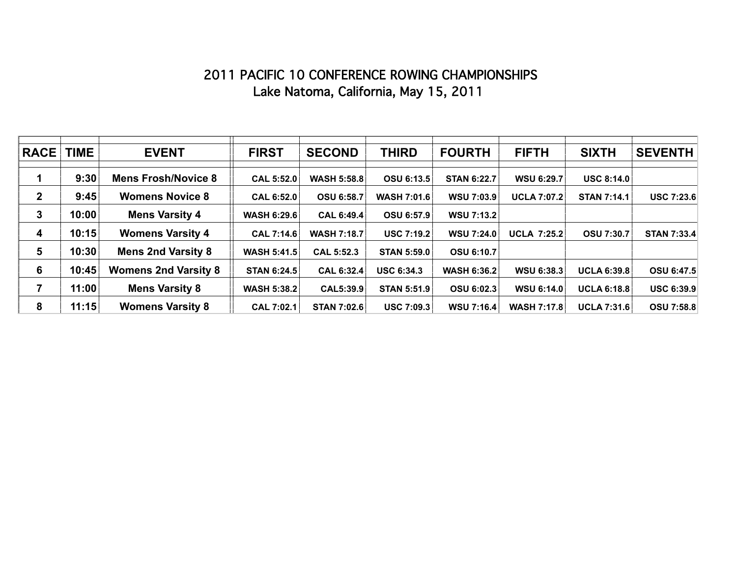## 2011 PACIFIC 10 CONFERENCE ROWING CHAMPIONSHIPS Lake Natoma, California, May 15, 2011

| <b>RACE</b>  | <b>TIME</b> | <b>EVENT</b>                | <b>FIRST</b>       | <b>SECOND</b>      | <b>THIRD</b>       | <b>FOURTH</b>      | <b>FIFTH</b>       | <b>SIXTH</b>       | <b>SEVENTH</b>     |
|--------------|-------------|-----------------------------|--------------------|--------------------|--------------------|--------------------|--------------------|--------------------|--------------------|
|              | 9:30        | <b>Mens Frosh/Novice 8</b>  | <b>CAL 5:52.0</b>  | <b>WASH 5:58.8</b> | OSU 6:13.5         | <b>STAN 6:22.7</b> | WSU 6:29.7         | <b>USC 8:14.0</b>  |                    |
| $\mathbf{2}$ | 9:45        | <b>Womens Novice 8</b>      | <b>CAL 6:52.0</b>  | <b>OSU 6:58.7</b>  | <b>WASH 7:01.6</b> | <b>WSU 7:03.9</b>  | <b>UCLA 7:07.2</b> | <b>STAN 7:14.1</b> | <b>USC 7:23.6</b>  |
| 3            | 10:00       | <b>Mens Varsity 4</b>       | <b>WASH 6:29.6</b> | CAL 6:49.4         | OSU 6:57.9         | <b>WSU 7:13.2</b>  |                    |                    |                    |
| 4            | 10:15       | <b>Womens Varsity 4</b>     | <b>CAL 7:14.6</b>  | <b>WASH 7:18.7</b> | <b>USC 7:19.2</b>  | <b>WSU 7:24.0</b>  | <b>UCLA 7:25.2</b> | OSU 7:30.7         | <b>STAN 7:33.4</b> |
| 5            | 10:30       | <b>Mens 2nd Varsity 8</b>   | <b>WASH 5:41.5</b> | <b>CAL 5:52.3</b>  | <b>STAN 5:59.0</b> | OSU 6:10.7         |                    |                    |                    |
| 6            | 10:45       | <b>Womens 2nd Varsity 8</b> | <b>STAN 6:24.5</b> | <b>CAL 6:32.4</b>  | <b>USC 6:34.3</b>  | <b>WASH 6:36.2</b> | <b>WSU 6:38.3</b>  | <b>UCLA 6:39.8</b> | OSU 6:47.5         |
| 7            | 11:00       | <b>Mens Varsity 8</b>       | <b>WASH 5:38.2</b> | CAL5:39.9          | <b>STAN 5:51.9</b> | OSU 6:02.3         | <b>WSU 6:14.0</b>  | <b>UCLA 6:18.8</b> | USC 6:39.9         |
| 8            | 11:15       | <b>Womens Varsity 8</b>     | <b>CAL 7:02.1</b>  | <b>STAN 7:02.6</b> | <b>USC 7:09.3</b>  | WSU 7:16.4         | <b>WASH 7:17.8</b> | <b>UCLA 7:31.6</b> | OSU 7:58.8         |